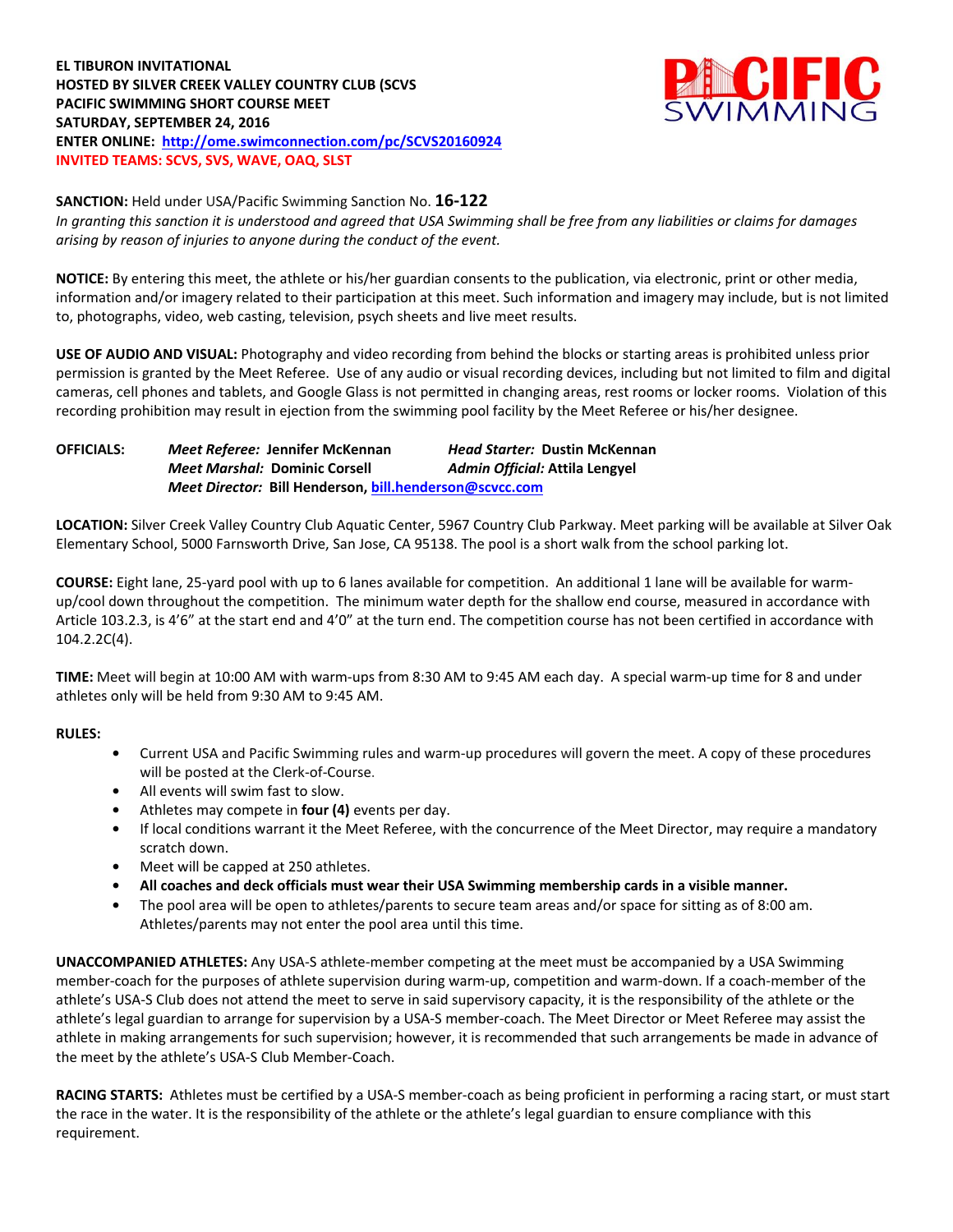# **EL TIBURON INVITATIONAL HOSTED BY SILVER CREEK VALLEY COUNTRY CLUB (SCVS PACIFIC SWIMMING SHORT COURSE MEET SATURDAY, SEPTEMBER 24, 2016 ENTER ONLINE: <http://ome.swimconnection.com/pc/SCVS20160924> INVITED TEAMS: SCVS, SVS, WAVE, OAQ, SLST**



### **SANCTION:** Held under USA/Pacific Swimming Sanction No. **16-122**

*In granting this sanction it is understood and agreed that USA Swimming shall be free from any liabilities or claims for damages arising by reason of injuries to anyone during the conduct of the event.*

**NOTICE:** By entering this meet, the athlete or his/her guardian consents to the publication, via electronic, print or other media, information and/or imagery related to their participation at this meet. Such information and imagery may include, but is not limited to, photographs, video, web casting, television, psych sheets and live meet results.

**USE OF AUDIO AND VISUAL:** Photography and video recording from behind the blocks or starting areas is prohibited unless prior permission is granted by the Meet Referee. Use of any audio or visual recording devices, including but not limited to film and digital cameras, cell phones and tablets, and Google Glass is not permitted in changing areas, rest rooms or locker rooms. Violation of this recording prohibition may result in ejection from the swimming pool facility by the Meet Referee or his/her designee.

**OFFICIALS:** *Meet Referee:* **Jennifer McKennan** *Head Starter:* **Dustin McKennan** *Meet Marshal:* **Dominic Corsell** *Admin Official:* **Attila Lengyel** *Meet Director:* **Bill Henderson[, bill.henderson@scvcc.com](mailto:bill.henderson@scvcc.com)**

**LOCATION:** Silver Creek Valley Country Club Aquatic Center, 5967 Country Club Parkway. Meet parking will be available at Silver Oak Elementary School, 5000 Farnsworth Drive, San Jose, CA 95138. The pool is a short walk from the school parking lot.

**COURSE:** Eight lane, 25-yard pool with up to 6 lanes available for competition. An additional 1 lane will be available for warmup/cool down throughout the competition. The minimum water depth for the shallow end course, measured in accordance with Article 103.2.3, is 4'6" at the start end and 4'0" at the turn end. The competition course has not been certified in accordance with 104.2.2C(4).

**TIME:** Meet will begin at 10:00 AM with warm-ups from 8:30 AM to 9:45 AM each day. A special warm-up time for 8 and under athletes only will be held from 9:30 AM to 9:45 AM.

# **RULES:**

- **•** Current USA and Pacific Swimming rules and warm-up procedures will govern the meet. A copy of these procedures will be posted at the Clerk-of-Course.
- **•** All events will swim fast to slow.
- **•** Athletes may compete in **four (4)** events per day.
- **•** If local conditions warrant it the Meet Referee, with the concurrence of the Meet Director, may require a mandatory scratch down.
- **•** Meet will be capped at 250 athletes.
- **• All coaches and deck officials must wear their USA Swimming membership cards in a visible manner.**
- **•** The pool area will be open to athletes/parents to secure team areas and/or space for sitting as of 8:00 am. Athletes/parents may not enter the pool area until this time.

**UNACCOMPANIED ATHLETES:** Any USA-S athlete-member competing at the meet must be accompanied by a USA Swimming member-coach for the purposes of athlete supervision during warm-up, competition and warm-down. If a coach-member of the athlete's USA-S Club does not attend the meet to serve in said supervisory capacity, it is the responsibility of the athlete or the athlete's legal guardian to arrange for supervision by a USA-S member-coach. The Meet Director or Meet Referee may assist the athlete in making arrangements for such supervision; however, it is recommended that such arrangements be made in advance of the meet by the athlete's USA-S Club Member-Coach.

**RACING STARTS:** Athletes must be certified by a USA-S member-coach as being proficient in performing a racing start, or must start the race in the water. It is the responsibility of the athlete or the athlete's legal guardian to ensure compliance with this requirement.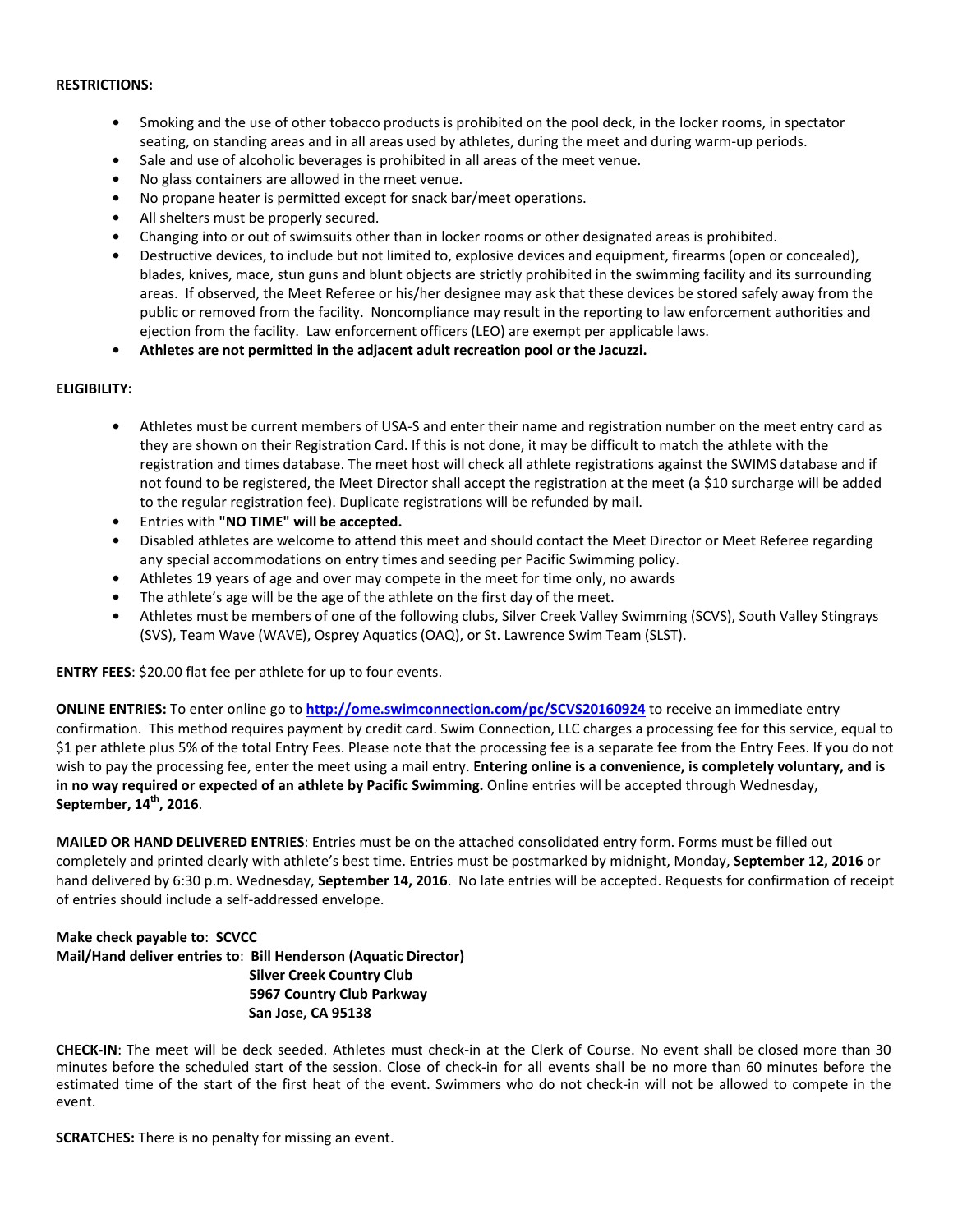#### **RESTRICTIONS:**

- **•** Smoking and the use of other tobacco products is prohibited on the pool deck, in the locker rooms, in spectator seating, on standing areas and in all areas used by athletes, during the meet and during warm-up periods.
- **•** Sale and use of alcoholic beverages is prohibited in all areas of the meet venue.
- **•** No glass containers are allowed in the meet venue.
- **•** No propane heater is permitted except for snack bar/meet operations.
- **•** All shelters must be properly secured.
- **•** Changing into or out of swimsuits other than in locker rooms or other designated areas is prohibited.
- **•** Destructive devices, to include but not limited to, explosive devices and equipment, firearms (open or concealed), blades, knives, mace, stun guns and blunt objects are strictly prohibited in the swimming facility and its surrounding areas. If observed, the Meet Referee or his/her designee may ask that these devices be stored safely away from the public or removed from the facility. Noncompliance may result in the reporting to law enforcement authorities and ejection from the facility. Law enforcement officers (LEO) are exempt per applicable laws.
- **• Athletes are not permitted in the adjacent adult recreation pool or the Jacuzzi.**

#### **ELIGIBILITY:**

- **•** Athletes must be current members of USA-S and enter their name and registration number on the meet entry card as they are shown on their Registration Card. If this is not done, it may be difficult to match the athlete with the registration and times database. The meet host will check all athlete registrations against the SWIMS database and if not found to be registered, the Meet Director shall accept the registration at the meet (a \$10 surcharge will be added to the regular registration fee). Duplicate registrations will be refunded by mail.
- **•** Entries with **"NO TIME" will be accepted.**
- **•** Disabled athletes are welcome to attend this meet and should contact the Meet Director or Meet Referee regarding any special accommodations on entry times and seeding per Pacific Swimming policy.
- **•** Athletes 19 years of age and over may compete in the meet for time only, no awards
- **•** The athlete's age will be the age of the athlete on the first day of the meet.
- **•** Athletes must be members of one of the following clubs, Silver Creek Valley Swimming (SCVS), South Valley Stingrays (SVS), Team Wave (WAVE), Osprey Aquatics (OAQ), or St. Lawrence Swim Team (SLST).

**ENTRY FEES**: \$20.00 flat fee per athlete for up to four events.

**ONLINE ENTRIES:** To enter online go to **<http://ome.swimconnection.com/pc/SCVS20160924>** to receive an immediate entry confirmation. This method requires payment by credit card. Swim Connection, LLC charges a processing fee for this service, equal to \$1 per athlete plus 5% of the total Entry Fees. Please note that the processing fee is a separate fee from the Entry Fees. If you do not wish to pay the processing fee, enter the meet using a mail entry. **Entering online is a convenience, is completely voluntary, and is in no way required or expected of an athlete by Pacific Swimming.** Online entries will be accepted through Wednesday, **September, 14th, 2016**.

**MAILED OR HAND DELIVERED ENTRIES**: Entries must be on the attached consolidated entry form. Forms must be filled out completely and printed clearly with athlete's best time. Entries must be postmarked by midnight, Monday, **September 12, 2016** or hand delivered by 6:30 p.m. Wednesday, **September 14, 2016**. No late entries will be accepted. Requests for confirmation of receipt of entries should include a self-addressed envelope.

# **Make check payable to**: **SCVCC**

**Mail/Hand deliver entries to**: **Bill Henderson (Aquatic Director) Silver Creek Country Club 5967 Country Club Parkway San Jose, CA 95138**

**CHECK-IN**: The meet will be deck seeded. Athletes must check-in at the Clerk of Course. No event shall be closed more than 30 minutes before the scheduled start of the session. Close of check-in for all events shall be no more than 60 minutes before the estimated time of the start of the first heat of the event. Swimmers who do not check-in will not be allowed to compete in the event.

**SCRATCHES:** There is no penalty for missing an event.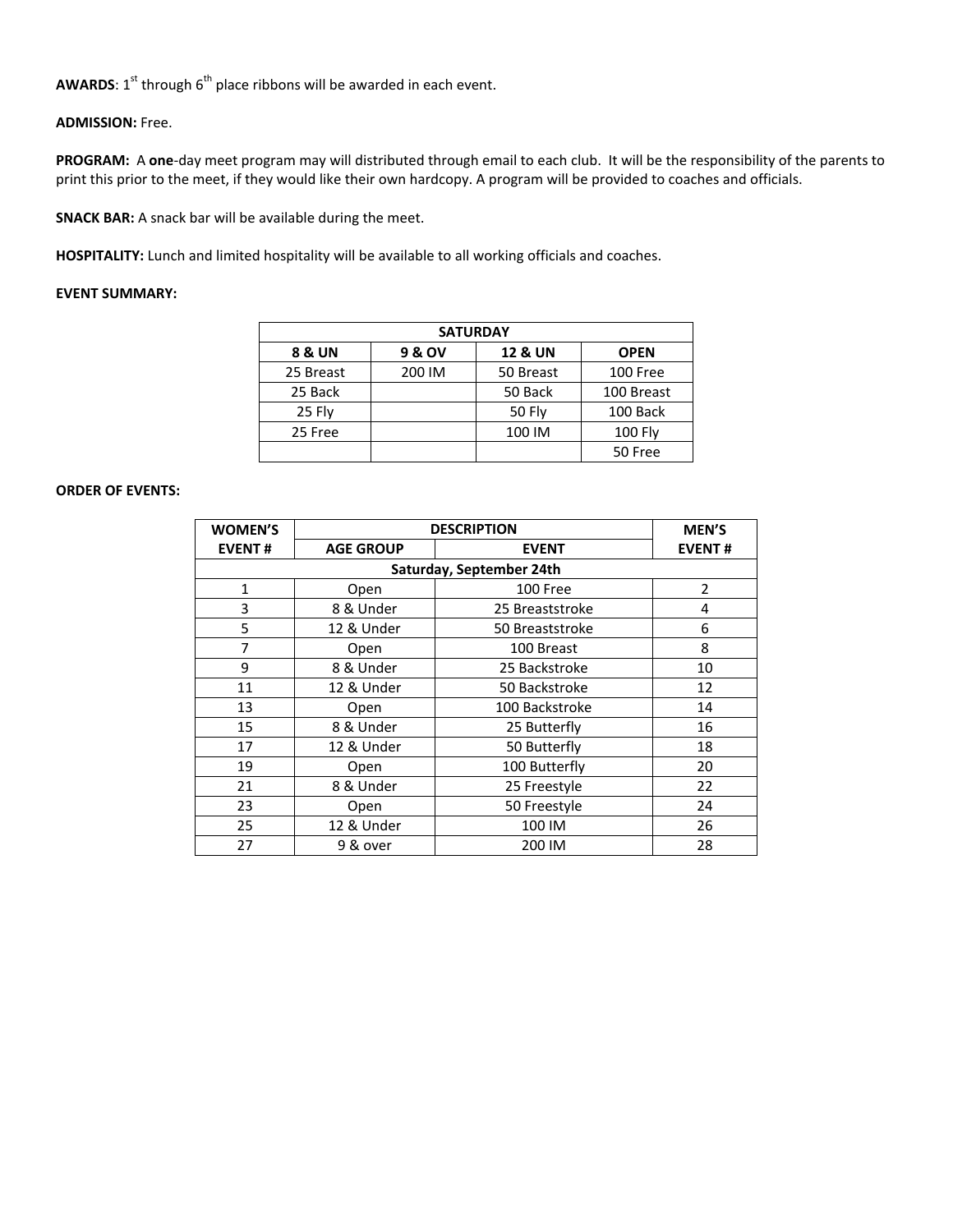**AWARDS**:  $1^{st}$  through  $6^{th}$  place ribbons will be awarded in each event.

# **ADMISSION:** Free.

**PROGRAM:** A **one**-day meet program may will distributed through email to each club. It will be the responsibility of the parents to print this prior to the meet, if they would like their own hardcopy. A program will be provided to coaches and officials.

**SNACK BAR:** A snack bar will be available during the meet.

**HOSPITALITY:** Lunch and limited hospitality will be available to all working officials and coaches.

# **EVENT SUMMARY:**

| <b>SATURDAY</b>   |        |                    |                |  |  |  |  |  |
|-------------------|--------|--------------------|----------------|--|--|--|--|--|
| <b>8 &amp; UN</b> | 9 & OV | <b>12 &amp; UN</b> | <b>OPEN</b>    |  |  |  |  |  |
| 25 Breast         | 200 IM | 50 Breast          | 100 Free       |  |  |  |  |  |
| 25 Back           |        | 50 Back            | 100 Breast     |  |  |  |  |  |
| 25 Flv            |        | <b>50 Fly</b>      | 100 Back       |  |  |  |  |  |
| 25 Free           |        | 100 IM             | <b>100 Fly</b> |  |  |  |  |  |
|                   |        |                    | 50 Free        |  |  |  |  |  |

# **ORDER OF EVENTS:**

| <b>WOMEN'S</b>           | <b>DESCRIPTION</b> | <b>MEN'S</b>    |                |  |  |  |  |  |  |
|--------------------------|--------------------|-----------------|----------------|--|--|--|--|--|--|
| <b>EVENT#</b>            | <b>AGE GROUP</b>   | <b>EVENT#</b>   |                |  |  |  |  |  |  |
| Saturday, September 24th |                    |                 |                |  |  |  |  |  |  |
| $\mathbf{1}$             | Open               | 100 Free        | $\overline{2}$ |  |  |  |  |  |  |
| 3                        | 8 & Under          | 25 Breaststroke | 4              |  |  |  |  |  |  |
| 5                        | 12 & Under         | 50 Breaststroke | 6              |  |  |  |  |  |  |
| 7                        | Open               | 100 Breast      | 8              |  |  |  |  |  |  |
| 9                        | 8 & Under          | 25 Backstroke   | 10             |  |  |  |  |  |  |
| 11                       | 12 & Under         | 50 Backstroke   | 12             |  |  |  |  |  |  |
| 13                       | Open               | 100 Backstroke  | 14             |  |  |  |  |  |  |
| 15                       | 8 & Under          | 25 Butterfly    | 16             |  |  |  |  |  |  |
| 17                       | 12 & Under         | 50 Butterfly    | 18             |  |  |  |  |  |  |
| 19                       | Open               | 100 Butterfly   | 20             |  |  |  |  |  |  |
| 21                       | 8 & Under          | 25 Freestyle    | 22             |  |  |  |  |  |  |
| 23                       | Open               | 50 Freestyle    | 24             |  |  |  |  |  |  |
| 25                       | 12 & Under         | 100 IM          | 26             |  |  |  |  |  |  |
| 27                       | 9 & over           | 200 IM          | 28             |  |  |  |  |  |  |